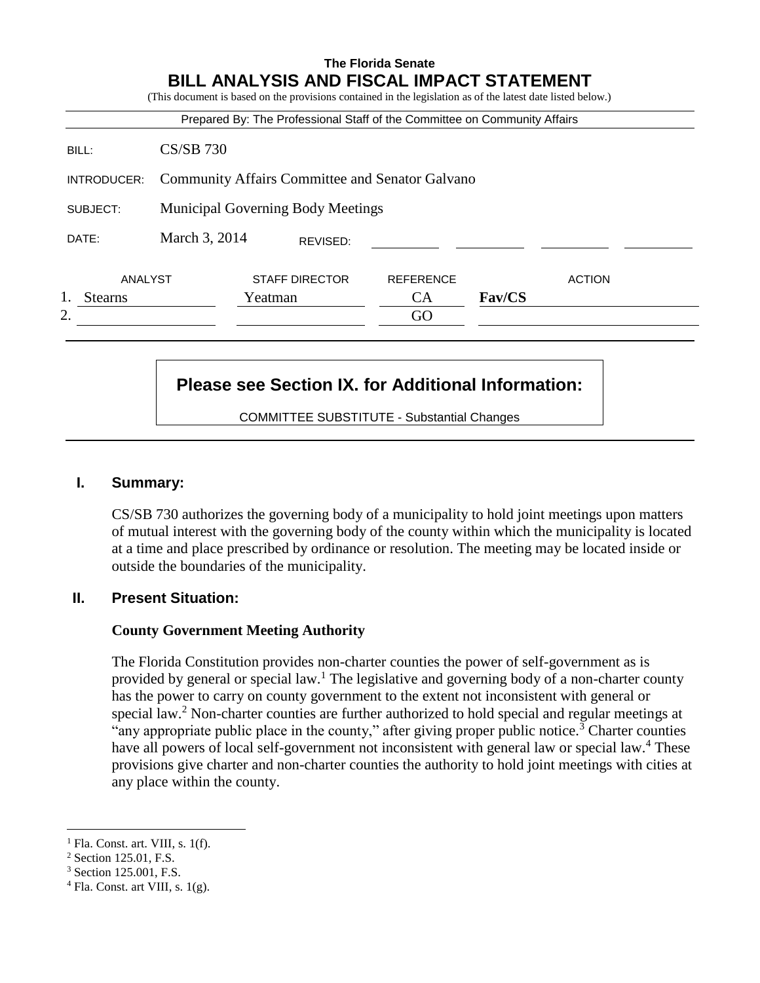|                |                                                        | Prepared By: The Professional Staff of the Committee on Community Affairs |                  |               |               |
|----------------|--------------------------------------------------------|---------------------------------------------------------------------------|------------------|---------------|---------------|
| BILL:          | $CS/SB$ 730                                            |                                                                           |                  |               |               |
| INTRODUCER:    | <b>Community Affairs Committee and Senator Galvano</b> |                                                                           |                  |               |               |
| SUBJECT:       |                                                        | <b>Municipal Governing Body Meetings</b>                                  |                  |               |               |
| DATE:          | March 3, 2014                                          | REVISED:                                                                  |                  |               |               |
| ANALYST        |                                                        | <b>STAFF DIRECTOR</b>                                                     | <b>REFERENCE</b> |               | <b>ACTION</b> |
| <b>Stearns</b> |                                                        | Yeatman                                                                   | <b>CA</b>        | <b>Fav/CS</b> |               |
| 2.             |                                                        |                                                                           | GO               |               |               |

# **Please see Section IX. for Additional Information:**

COMMITTEE SUBSTITUTE - Substantial Changes

#### **I. Summary:**

CS/SB 730 authorizes the governing body of a municipality to hold joint meetings upon matters of mutual interest with the governing body of the county within which the municipality is located at a time and place prescribed by ordinance or resolution. The meeting may be located inside or outside the boundaries of the municipality.

#### **II. Present Situation:**

#### **County Government Meeting Authority**

The Florida Constitution provides non-charter counties the power of self-government as is provided by general or special law.<sup>1</sup> The legislative and governing body of a non-charter county has the power to carry on county government to the extent not inconsistent with general or special law.<sup>2</sup> Non-charter counties are further authorized to hold special and regular meetings at "any appropriate public place in the county," after giving proper public notice.<sup>3</sup> Charter counties have all powers of local self-government not inconsistent with general law or special law.<sup>4</sup> These provisions give charter and non-charter counties the authority to hold joint meetings with cities at any place within the county.

 $\overline{a}$ 

 $<sup>1</sup>$  Fla. Const. art. VIII, s. 1(f).</sup>

<sup>2</sup> Section 125.01, F.S.

<sup>3</sup> Section 125.001, F.S.

 $4$  Fla. Const. art VIII, s. 1(g).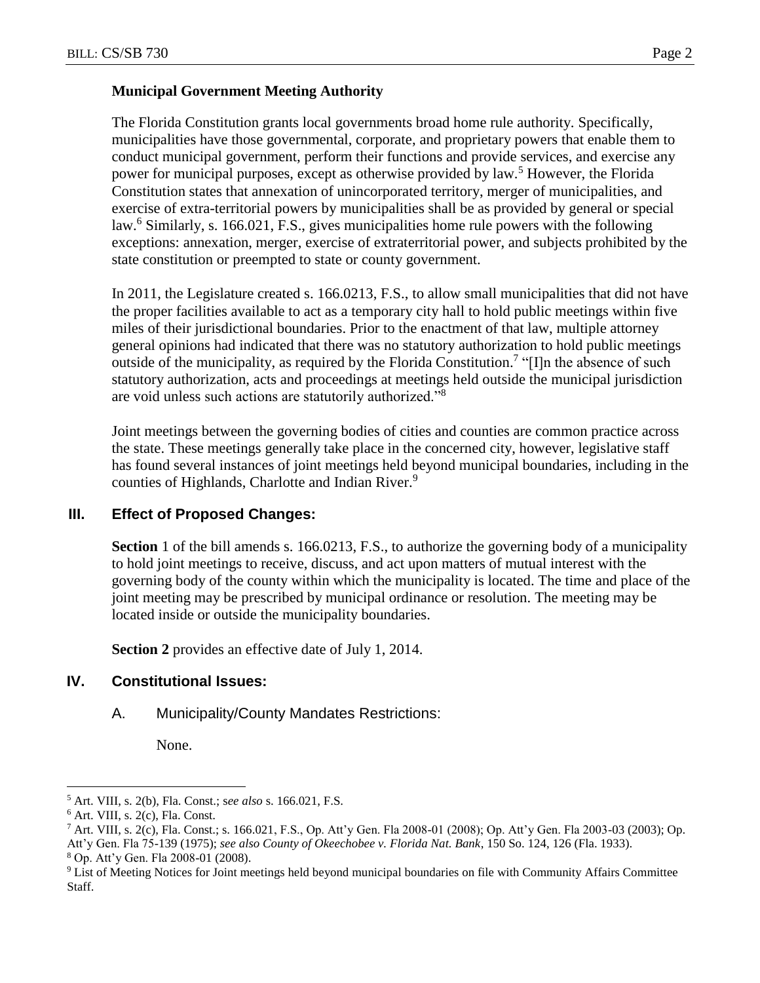# **Municipal Government Meeting Authority**

The Florida Constitution grants local governments broad home rule authority. Specifically, municipalities have those governmental, corporate, and proprietary powers that enable them to conduct municipal government, perform their functions and provide services, and exercise any power for municipal purposes, except as otherwise provided by law.<sup>5</sup> However, the Florida Constitution states that annexation of unincorporated territory, merger of municipalities, and exercise of extra-territorial powers by municipalities shall be as provided by general or special law.<sup>6</sup> Similarly, s. 166.021, F.S., gives municipalities home rule powers with the following exceptions: annexation, merger, exercise of extraterritorial power, and subjects prohibited by the state constitution or preempted to state or county government.

In 2011, the Legislature created s. 166.0213, F.S., to allow small municipalities that did not have the proper facilities available to act as a temporary city hall to hold public meetings within five miles of their jurisdictional boundaries. Prior to the enactment of that law, multiple attorney general opinions had indicated that there was no statutory authorization to hold public meetings outside of the municipality, as required by the Florida Constitution.<sup>7</sup> "[I]n the absence of such statutory authorization, acts and proceedings at meetings held outside the municipal jurisdiction are void unless such actions are statutorily authorized."<sup>8</sup>

Joint meetings between the governing bodies of cities and counties are common practice across the state. These meetings generally take place in the concerned city, however, legislative staff has found several instances of joint meetings held beyond municipal boundaries, including in the counties of Highlands, Charlotte and Indian River.<sup>9</sup>

# **III. Effect of Proposed Changes:**

**Section** 1 of the bill amends s. 166.0213, F.S., to authorize the governing body of a municipality to hold joint meetings to receive, discuss, and act upon matters of mutual interest with the governing body of the county within which the municipality is located. The time and place of the joint meeting may be prescribed by municipal ordinance or resolution. The meeting may be located inside or outside the municipality boundaries.

**Section 2** provides an effective date of July 1, 2014.

# **IV. Constitutional Issues:**

A. Municipality/County Mandates Restrictions:

None.

 $\overline{a}$ 

<sup>5</sup> Art. VIII, s. 2(b), Fla. Const.; s*ee also* s. 166.021, F.S.

 $6$  Art. VIII, s. 2(c), Fla. Const.

<sup>7</sup> Art. VIII, s. 2(c), Fla. Const.; s. 166.021, F.S., Op. Att'y Gen. Fla 2008-01 (2008); Op. Att'y Gen. Fla 2003-03 (2003); Op. Att'y Gen. Fla 75-139 (1975); *see also County of Okeechobee v. Florida Nat. Bank*, 150 So. 124, 126 (Fla. 1933). <sup>8</sup> Op. Att'y Gen. Fla 2008-01 (2008).

<sup>9</sup> List of Meeting Notices for Joint meetings held beyond municipal boundaries on file with Community Affairs Committee Staff.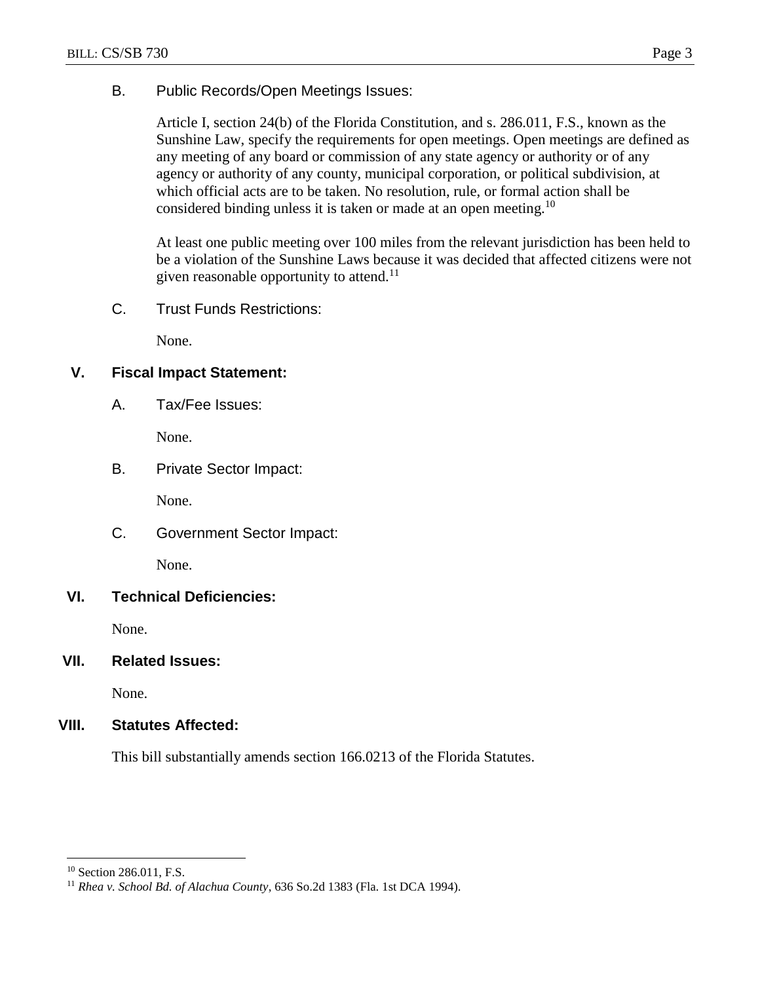# B. Public Records/Open Meetings Issues:

Article I, section 24(b) of the Florida Constitution, and s. 286.011, F.S., known as the Sunshine Law, specify the requirements for open meetings. Open meetings are defined as any meeting of any board or commission of any state agency or authority or of any agency or authority of any county, municipal corporation, or political subdivision, at which official acts are to be taken. No resolution, rule, or formal action shall be considered binding unless it is taken or made at an open meeting.<sup>10</sup>

At least one public meeting over 100 miles from the relevant jurisdiction has been held to be a violation of the Sunshine Laws because it was decided that affected citizens were not given reasonable opportunity to attend.<sup>11</sup>

C. Trust Funds Restrictions:

None.

# **V. Fiscal Impact Statement:**

A. Tax/Fee Issues:

None.

B. Private Sector Impact:

None.

C. Government Sector Impact:

None.

#### **VI. Technical Deficiencies:**

None.

#### **VII. Related Issues:**

None.

# **VIII. Statutes Affected:**

This bill substantially amends section 166.0213 of the Florida Statutes.

 $\overline{a}$ 

<sup>&</sup>lt;sup>10</sup> Section 286.011, F.S.

<sup>11</sup> *Rhea v. School Bd. of Alachua County*, 636 So.2d 1383 (Fla. 1st DCA 1994).